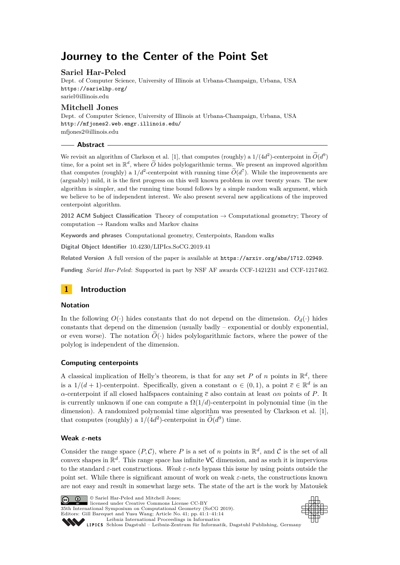# **Journey to the Center of the Point Set**

# **Sariel Har-Peled**

Dept. of Computer Science, University of Illinois at Urbana-Champaign, Urbana, USA <https://sarielhp.org/> [sariel@illinois.edu](mailto:sariel@illinois.edu)

# **Mitchell Jones**

Dept. of Computer Science, University of Illinois at Urbana-Champaign, Urbana, USA <http://mfjones2.web.engr.illinois.edu/> [mfjones2@illinois.edu](mailto:mfjones2@illinois.edu)

# **Abstract**

We revisit an algorithm of Clarkson et al. [\[1\]](#page-12-0), that computes (roughly) a  $1/(4d^2)$ -centerpoint in  $\widetilde{O}(d^9)$ time, for a point set in  $\mathbb{R}^d$ , where  $\widetilde{O}$  hides polylogarithmic terms. We present an improved algorithm that computes (roughly) a  $1/d^2$ -centerpoint with running time  $O(d^7)$ . While the improvements are (arguably) mild, it is the first progress on this well known problem in over twenty years. The new algorithm is simpler, and the running time bound follows by a simple random walk argument, which we believe to be of independent interest. We also present several new applications of the improved centerpoint algorithm.

**2012 ACM Subject Classification** Theory of computation → Computational geometry; Theory of computation  $\rightarrow$  Random walks and Markov chains

**Keywords and phrases** Computational geometry, Centerpoints, Random walks

**Digital Object Identifier** [10.4230/LIPIcs.SoCG.2019.41](https://doi.org/10.4230/LIPIcs.SoCG.2019.41)

**Related Version** A full version of the paper is available at <https://arxiv.org/abs/1712.02949>.

**Funding** *Sariel Har-Peled*: Supported in part by NSF AF awards CCF-1421231 and CCF-1217462.



# **Notation**

In the following  $O(\cdot)$  hides constants that do not depend on the dimension.  $O_d(\cdot)$  hides constants that depend on the dimension (usually badly – exponential or doubly exponential, or even worse). The notation  $\tilde{O}(\cdot)$  hides polylogarithmic factors, where the power of the polylog is independent of the dimension.

# **Computing centerpoints**

A classical implication of Helly's theorem, is that for any set P of n points in  $\mathbb{R}^d$ , there is a  $1/(d+1)$ -centerpoint. Specifically, given a constant  $\alpha \in (0,1)$ , a point  $\bar{c} \in \mathbb{R}^d$  is an *α*-centerpoint if all closed halfspaces containing *c* also contain at least *αn* points of *P*. It is currently unknown if one can compute a  $\Omega(1/d)$ -centerpoint in polynomial time (in the dimension). A randomized polynomial time algorithm was presented by Clarkson et al. [\[1\]](#page-12-0), that computes (roughly) a  $1/(4d^2)$ -centerpoint in  $\widetilde{O}(d^9)$  time.

# **Weak** *ε***-nets**

Consider the range space  $(P, C)$ , where P is a set of *n* points in  $\mathbb{R}^d$ , and C is the set of all convex shapes in  $\mathbb{R}^d$ . This range space has infinite VC dimension, and as such it is impervious to the standard *ε*-net constructions. *Weak ε-nets* bypass this issue by using points outside the point set. While there is significant amount of work on weak *ε*-nets, the constructions known are not easy and result in somewhat large sets. The state of the art is the work by Matoušek



 $\boxed{6}$  0 licensed under Creative Commons License CC-BY 35th International Symposium on Computational Geometry (SoCG 2019). Editors: Gill Barequet and Yusu Wang; Article No. 41; pp. 41:1–41[:14](#page-13-0) [Leibniz International Proceedings in Informatics](https://www.dagstuhl.de/lipics/)

© Sariel Har-Peled and Mitchell Jones;



Leibniz International Froceedings in miormatics<br>
LIPICS [Schloss Dagstuhl – Leibniz-Zentrum für Informatik, Dagstuhl Publishing, Germany](https://www.dagstuhl.de)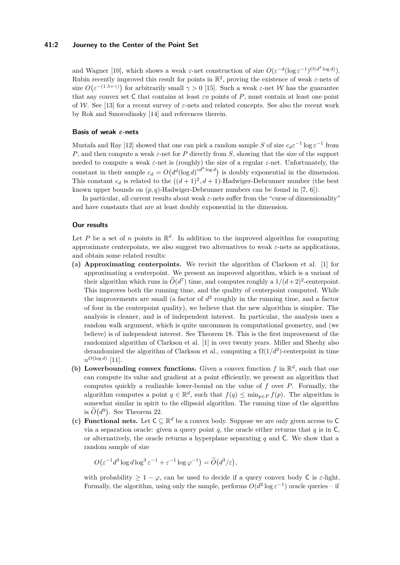#### **41:2 Journey to the Center of the Point Set**

and Wagner [\[10\]](#page-13-1), which shows a weak  $\varepsilon$ -net construction of size  $O(\varepsilon^{-d} (\log \varepsilon^{-1})^{O(d^2 \log d)})$ . Rubin recently improved this result for points in  $\mathbb{R}^2$ , proving the existence of weak  $\varepsilon$ -nets of size  $O(\varepsilon^{-(1.5+\gamma)})$  for arbitrarily small  $\gamma > 0$  [\[15\]](#page-13-2). Such a weak  $\varepsilon$ -net W has the guarantee that any convex set C that contains at least *εn* points of *P*, must contain at least one point of W. See [\[13\]](#page-13-3) for a recent survey of *ε*-nets and related concepts. See also the recent work by Rok and Smorodinsky [\[14\]](#page-13-4) and references therein.

# **Basis of weak** *ε***-nets**

Mustafa and Ray [\[12\]](#page-13-5) showed that one can pick a random sample *S* of size  $c_d \varepsilon^{-1} \log \varepsilon^{-1}$  from *P*, and then compute a weak *ε*-net for *P* directly from *S*, showing that the size of the support needed to compute a weak *ε*-net is (roughly) the size of a regular *ε*-net. Unfortunately, the constant in their sample  $c_d = O(d^d(\log d)^{cd^3 \log d})$  is doubly exponential in the dimension. This constant  $c_d$  is related to the  $((d+1)^2, d+1)$ -Hadwiger-Debrunner number (the best known upper bounds on (*p, q*)-Hadwiger-Debrunner numbers can be found in [\[7,](#page-13-6) [6\]](#page-13-7)).

In particular, all current results about weak *ε*-nets suffer from the "curse of dimensionality" and have constants that are at least doubly exponential in the dimension.

### **Our results**

Let P be a set of *n* points in  $\mathbb{R}^d$ . In addition to the improved algorithm for computing approximate centerpoints, we also suggest two alternatives to weak  $\varepsilon$ -nets as applications, and obtain some related results:

- **(a) Approximating centerpoints.** We revisit the algorithm of Clarkson et al. [\[1\]](#page-12-0) for approximating a centerpoint. We present an improved algorithm, which is a variant of their algorithm which runs in  $\tilde{O}(d^7)$  time, and computes roughly a  $1/(d+2)^2$ -centerpoint. This improves both the running time, and the quality of centerpoint computed. While the improvements are small (a factor of  $d^2$  roughly in the running time, and a factor of four in the centerpoint quality), we believe that the new algorithm is simpler. The analysis is cleaner, and is of independent interest. In particular, the analysis uses a random walk argument, which is quite uncommon in computational geometry, and (we believe) is of independent interest. See [Theorem 18.](#page-7-0) This is the first improvement of the randomized algorithm of Clarkson et al. [\[1\]](#page-12-0) in over twenty years. Miller and Sheehy also derandomized the algorithm of Clarkson et al., computing a  $\Omega(1/d^2)$ -centerpoint in time  $n^{O(\log d)}$  [\[11\]](#page-13-8).
- (b) Lowerbounding convex functions. Given a convex function  $f$  in  $\mathbb{R}^d$ , such that one can compute its value and gradient at a point efficiently, we present an algorithm that computes quickly a realizable lower-bound on the value of *f* over *P*. Formally, the algorithm computes a point  $q \in \mathbb{R}^d$ , such that  $f(q) \le \min_{p \in P} f(p)$ . The algorithm is somewhat similar in spirit to the ellipsoid algorithm. The running time of the algorithm is  $\tilde{O}(d^9)$ . See [Theorem 22.](#page-8-0)
- (c) **Functional nets.** Let  $C \subseteq \mathbb{R}^d$  be a convex body. Suppose we are only given access to C via a separation oracle: given a query point  $q$ , the oracle either returns that  $q$  is in  $C$ , or alternatively, the oracle returns a hyperplane separating *q* and C. We show that a random sample of size

 $O(\varepsilon^{-1}d^3\log d\log^3\varepsilon^{-1} + \varepsilon^{-1}\log\varphi^{-1}) = \widetilde{O}(d^3/\varepsilon),$ 

with probability  $\geq 1 - \varphi$ , can be used to decide if a query convex body C is  $\varepsilon$ -light. Formally, the algorithm, using only the sample, performs  $O(d^2 \log \varepsilon^{-1})$  oracle queries – if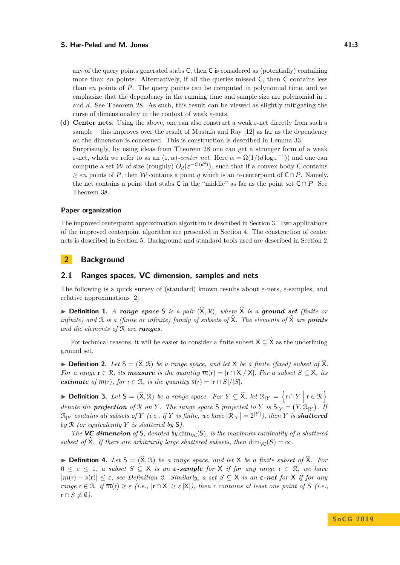#### **S.** Har-Peled and M. Jones 41:3

any of the query points generated stabs C, then C is considered as (potentially) containing more than  $\varepsilon$ *n* points. Alternatively, if all the queries missed C, then C contains less than *εn* points of *P*. The query points can be computed in polynomial time, and we emphasize that the dependency in the running time and sample size are polynomial in *ε* and *d*. See [Theorem 28.](#page-10-0) As such, this result can be viewed as slightly mitigating the curse of dimensionality in the context of weak *ε*-nets.

**(d) Center nets.** Using the above, one can also construct a weak *ε*-net directly from such a sample – this improves over the result of Mustafa and Ray [\[12\]](#page-13-5) as far as the dependency on the dimension is concerned. This is construction is described in [Lemma 33.](#page-11-0) Surprisingly, by using ideas from [Theorem 28](#page-10-0) one can get a stronger form of a weak *ε*-net, which we refer to as an  $(\varepsilon, \alpha)$ -center net. Here  $\alpha = \Omega(1/(d \log \varepsilon^{-1}))$  and one can compute a set W of size (roughly)  $\widetilde{O}_d(\varepsilon^{-O(d^2)})$ , such that if a convex body C contains  $\geq \varepsilon n$  points of P, then W contains a point *q* which is an *α*-centerpoint of  $C \cap P$ . Namely, the net contains a point that stabs C in the "middle" as far as the point set  $C \cap P$ . See [Theorem 38.](#page-12-1)

### **Paper organization**

The improved centerpoint approximation algorithm is described in [Section 3.](#page-3-0) Two applications of the improved centerpoint algorithm are presented in [Section 4.](#page-8-1) The construction of center nets is described in [Section 5.](#page-11-1) Background and standard tools used are described in [Section 2.](#page-2-0)

# <span id="page-2-0"></span>**2 Background**

### **2.1 Ranges spaces, VC dimension, samples and nets**

The following is a quick survey of (standard) known results about *ε*-nets, *ε*-samples, and relative approximations [\[2\]](#page-12-2).

 $\triangleright$  **Definition 1.** *A* range space S is a pair  $(\widehat{X}, \mathcal{R})$ , where  $\widehat{X}$  is a ground set (finite or *infinite)* and  $\Re$  *is a (finite or infinite)* family of subsets of  $\hat{\chi}$ . The elements of  $\hat{\chi}$  *are* **points** *and the elements of* R *are ranges.*

For technical reasons, it will be easier to consider a finite subset  $X \subseteq \hat{X}$  as the underlining ground set.

<span id="page-2-1"></span>**• Definition 2.** Let  $S = (\hat{X}, \hat{X})$  be a range space, and let  $X$  be a finite (fixed) subset of  $\hat{X}$ . *For a range*  $r \in \mathcal{R}$ *, its measure is the quantity*  $\overline{m}(r) = |r \cap X|/|X|$ *. For a subset*  $S \subseteq X$ *, its estimate of*  $\overline{m}(r)$ *, for*  $r \in \mathcal{R}$ *, is the quantity*  $\overline{s}(r) = |r \cap S|/|S|$ *.* 

**► Definition 3.** Let  $S = (\hat{X}, \hat{\mathcal{R}})$  be a range space. For  $Y \subseteq \hat{X}$ , let  $\mathcal{R}_{|Y} = \{r \cap Y \mid r \in \hat{\mathcal{R}}\}$ *denote the projection of*  $\Re$  *on*  $Y$ *. The range space*  $S$  *projected to*  $Y$  *is*  $S_{|Y} = (Y, \Re_{|Y})$ *. If*  $\mathcal{R}_{|Y}$  *contains all subsets of*  $Y$  *(i.e., if*  $Y$  *is finite, we have*  $|\mathcal{R}_{|Y}| = 2^{|Y|}$ *), then*  $Y$  *is shattered by* R *(or equivalently Y is shattered by* S*).*

*The* **VC** dimension of S, denoted by  $\dim_{\mathcal{VC}}(S)$ , is the maximum cardinality of a shattered *subset of*  $\widehat{X}$ *. If there are arbitrarily large shattered subsets, then* dim<sub>VC</sub>(*S*) = ∞*.* 

**Definition 4.** Let  $S = (\hat{X}, \mathcal{R})$  be a range space, and let X be a finite subset of  $\hat{X}$ . For  $0 \leq \varepsilon \leq 1$ , a subset  $S \subseteq X$  *is an*  $\varepsilon$ -sample for X *if for any range*  $r \in \mathcal{R}$ *, we have* |*m*(r) − *s*(r)| ≤ *ε, see [Definition 2.](#page-2-1) Similarly, a set S* ⊆ X *is an ε-net for* X *if for any range*  $\mathbf{r} \in \mathbb{R}$ *, if*  $\overline{m}(\mathbf{r}) \geq \varepsilon$  (*i.e.*,  $|\mathbf{r} \cap \mathbf{X}| \geq \varepsilon |\mathbf{X}|$ *), then*  $\mathbf{r}$  *contains at least one point of S* (*i.e.*,  $r \cap S \neq \emptyset$ ).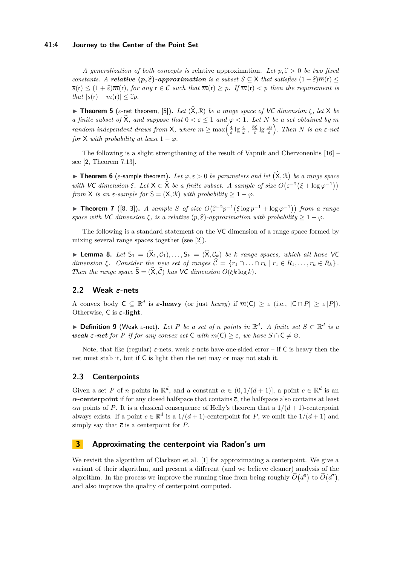### **41:4 Journey to the Center of the Point Set**

*A generalization of both concepts is* relative approximation. Let  $p, \hat{\varepsilon} > 0$  be two fixed *constants. A relative*  $(p, \hat{\epsilon})$ *-approximation is a subset*  $S \subseteq X$  *that satisfies*  $(1 - \hat{\epsilon})\overline{m}(r)$  ≤  $\overline{s}(r) \leq (1 + \widehat{\varepsilon})\overline{m}(r)$ *, for any*  $r \in \mathcal{C}$  *such that*  $\overline{m}(r) > p$ *. If*  $\overline{m}(r) < p$  *then the requirement is that*  $|\overline{s}(\mathbf{r}) - \overline{m}(\mathbf{r})| \leq \widehat{\varepsilon}p$ .

**Findmenth 5** (*ε*-net theorem, [\[5\]](#page-13-9)). Let  $(\hat{\mathsf{X}}, \mathcal{R})$  be a range space of VC dimension  $\xi$ , let X be *a finite subset of*  $\widehat{\mathsf{X}}$ *, and suppose that*  $0 < \varepsilon \leq 1$  *and*  $\varphi < 1$ *. Let N be a set obtained by m random independent draws from*  $X$ *, where*  $m \ge \max\left(\frac{4}{\varepsilon}\lg\frac{4}{\varphi}, \frac{8\xi}{\varepsilon}\lg\frac{16}{\varepsilon}\right)$ *. Then N is an*  $\varepsilon$ -net *for*  $X$  *with probability at least*  $1 - \varphi$ *.* 

The following is a slight strengthening of the result of Vapnik and Chervonenkis [\[16\]](#page-13-10) – see [\[2,](#page-12-2) Theorem 7.13].

**Theorem 6** ( $\varepsilon$ -sample theorem). Let  $\varphi, \varepsilon > 0$  be parameters and let  $(\widehat{\mathsf{X}}, \mathcal{R})$  be a range space *with* VC dimension  $\xi$ . Let  $X \subset \widehat{X}$  be a finite subset. A sample of size  $O(\varepsilon^{-2}(\xi + \log \varphi^{-1}))$ *from*  $X$  *is an*  $\varepsilon$ *-sample for*  $S = (X, \mathbb{R})$  *with probability*  $\geq 1 - \varphi$ *.* 

<span id="page-3-1"></span>**► Theorem 7** ([\[8,](#page-13-11) [3\]](#page-12-3)). *A sample S* of size  $O(\hat{\epsilon}^{-2}p^{-1}(\xi \log p^{-1} + \log \varphi^{-1}))$  from a range *space with*  $VC$  *dimension*  $\xi$ *, is a relative*  $(p, \hat{\varepsilon})$ *-approximation with probability*  $\geq 1 - \varphi$ *.* 

The following is a standard statement on the VC dimension of a range space formed by mixing several range spaces together (see [\[2\]](#page-12-2)).

<span id="page-3-2"></span>**Lemma 8.** *Let*  $S_1 = (\hat{X}_1, C_1), \ldots, S_k = (\hat{X}, C_k)$  *be k* range spaces, which all have VC *dimension*  $\xi$ *. Consider the new set of ranges*  $\hat{\mathcal{C}} = \{r_1 \cap \ldots \cap r_k \mid r_1 \in R_1, \ldots, r_k \in R_k\}$ . *Then the range space*  $\widehat{S} = (\widehat{X}, \widehat{C})$  *has* VC *dimension*  $O(\xi k \log k)$ *.* 

# **2.2 Weak** *ε***-nets**

A convex body  $C \subseteq \mathbb{R}^d$  is  $\varepsilon$ -heavy (or just *heavy*) if  $\overline{m}(C) \geq \varepsilon$  (i.e.,  $|C \cap P| \geq \varepsilon |P|$ ). Otherwise, C is *ε***-light**.

I **Definition 9** (Weak *ε*-net)**.** *Let P be a set of n points in* R *d . A finite set S* ⊂ R *d is a weak*  $\epsilon$ -net for P if for any convex set C with  $\overline{m}(C) \geq \epsilon$ , we have  $S \cap C \neq \emptyset$ .

Note, that like (regular)  $\varepsilon$ -nets, weak  $\varepsilon$ -nets have one-sided error – if C is heavy then the net must stab it, but if C is light then the net may or may not stab it.

# **2.3 Centerpoints**

Given a set *P* of *n* points in  $\mathbb{R}^d$ , and a constant  $\alpha \in (0, 1/(d+1))$ , a point  $\bar{c} \in \mathbb{R}^d$  is an *α***-centerpoint** if for any closed halfspace that contains *c*, the halfspace also contains at least *αn* points of *P*. It is a classical consequence of Helly's theorem that a 1*/*(*d* + 1)-centerpoint always exists. If a point  $\bar{c} \in \mathbb{R}^d$  is a  $1/(d+1)$ -centerpoint for *P*, we omit the  $1/(d+1)$  and simply say that  $\bar{c}$  is a centerpoint for  $P$ .

# <span id="page-3-0"></span>**3 Approximating the centerpoint via Radon's urn**

We revisit the algorithm of Clarkson et al. [\[1\]](#page-12-0) for approximating a centerpoint. We give a variant of their algorithm, and present a different (and we believe cleaner) analysis of the algorithm. In the process we improve the running time from being roughly  $\tilde{O}(d^9)$  to  $\tilde{O}(d^7)$ , and also improve the quality of centerpoint computed.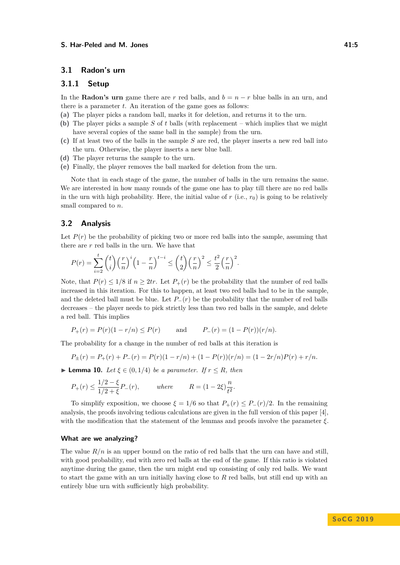# **3.1 Radon's urn**

# **3.1.1 Setup**

In the **Radon's urn** game there are *r* red balls, and  $b = n - r$  blue balls in an urn, and there is a parameter *t*. An iteration of the game goes as follows:

**(a)** The player picks a random ball, marks it for deletion, and returns it to the urn.

- **(b)** The player picks a sample *S* of *t* balls (with replacement which implies that we might have several copies of the same ball in the sample) from the urn.
- **(c)** If at least two of the balls in the sample *S* are red, the player inserts a new red ball into the urn. Otherwise, the player inserts a new blue ball.
- **(d)** The player returns the sample to the urn.
- **(e)** Finally, the player removes the ball marked for deletion from the urn.

Note that in each stage of the game, the number of balls in the urn remains the same. We are interested in how many rounds of the game one has to play till there are no red balls in the urn with high probability. Here, the initial value of  $r$  (i.e.,  $r_0$ ) is going to be relatively small compared to *n*.

# **3.2 Analysis**

Let  $P(r)$  be the probability of picking two or more red balls into the sample, assuming that there are *r* red balls in the urn. We have that

$$
P(r) = \sum_{i=2}^t {t \choose i} \left(\frac{r}{n}\right)^i \left(1 - \frac{r}{n}\right)^{t-i} \le \binom{t}{2} \left(\frac{r}{n}\right)^2 \le \frac{t^2}{2} \left(\frac{r}{n}\right)^2.
$$

Note, that  $P(r) \leq 1/8$  if  $n \geq 2tr$ . Let  $P_+(r)$  be the probability that the number of red balls increased in this iteration. For this to happen, at least two red balls had to be in the sample, and the deleted ball must be blue. Let  $P_-(r)$  be the probability that the number of red balls decreases – the player needs to pick strictly less than two red balls in the sample, and delete a red ball. This implies

$$
P_+(r) = P(r)(1 - r/n) \le P(r)
$$
 and  $P_-(r) = (1 - P(r))(r/n).$ 

The probability for a change in the number of red balls at this iteration is

$$
P_{\pm}(r) = P_{+}(r) + P_{-}(r) = P(r)(1 - r/n) + (1 - P(r))(r/n) = (1 - 2r/n)P(r) + r/n.
$$

<span id="page-4-0"></span>**► Lemma 10.** *Let*  $\xi$  ∈ (0*,* 1/4) *be a parameter. If*  $r \le R$ *, then* 

$$
P_{+}(r) \le \frac{1/2 - \xi}{1/2 + \xi} P_{-}(r)
$$
, where  $R = (1 - 2\xi) \frac{n}{t^2}$ .

To simplify exposition, we choose  $\xi = 1/6$  so that  $P_+(r) \leq P_-(r)/2$ . In the remaining analysis, the proofs involving tedious calculations are given in the full version of this paper [\[4\]](#page-12-4), with the modification that the statement of the lemmas and proofs involve the parameter *ξ*.

#### **What are we analyzing?**

The value  $R/n$  is an upper bound on the ratio of red balls that the urn can have and still, with good probability, end with zero red balls at the end of the game. If this ratio is violated anytime during the game, then the urn might end up consisting of only red balls. We want to start the game with an urn initially having close to *R* red balls, but still end up with an entirely blue urn with sufficiently high probability.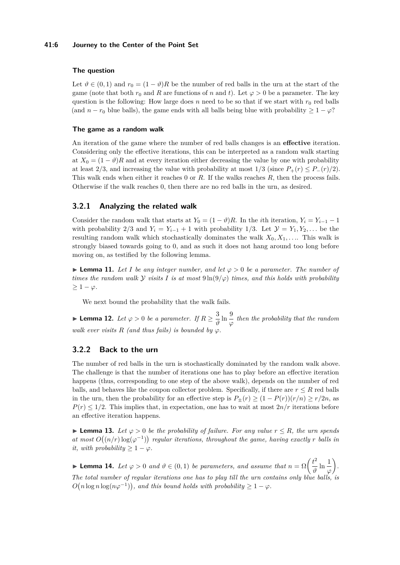#### **41:6 Journey to the Center of the Point Set**

# **The question**

Let  $\vartheta \in (0,1)$  and  $r_0 = (1 - \vartheta)R$  be the number of red balls in the urn at the start of the game (note that both  $r_0$  and *R* are functions of *n* and *t*). Let  $\varphi > 0$  be a parameter. The key question is the following: How large does *n* need to be so that if we start with  $r_0$  red balls (and  $n - r_0$  blue balls), the game ends with all balls being blue with probability  $\geq 1 - \varphi$ ?

#### **The game as a random walk**

An iteration of the game where the number of red balls changes is an **effective** iteration. Considering only the effective iterations, this can be interpreted as a random walk starting at  $X_0 = (1 - \vartheta)R$  and at every iteration either decreasing the value by one with probability at least 2/3, and increasing the value with probability at most  $1/3$  (since  $P_+(r) \leq P_-(r)/2$ ). This walk ends when either it reaches 0 or *R*. If the walks reaches *R*, then the process fails. Otherwise if the walk reaches 0, then there are no red balls in the urn, as desired.

# **3.2.1 Analyzing the related walk**

Consider the random walk that starts at  $Y_0 = (1 - \vartheta)R$ . In the *i*th iteration,  $Y_i = Y_{i-1} - 1$ with probability 2/3 and  $Y_i = Y_{i-1} + 1$  with probability 1/3. Let  $\mathcal{Y} = Y_1, Y_2, \ldots$  be the resulting random walk which stochastically dominates the walk  $X_0, X_1, \ldots$ . This walk is strongly biased towards going to 0, and as such it does not hang around too long before moving on, as testified by the following lemma.

**Lemma 11.** Let *I* be any integer number, and let  $\varphi > 0$  be a parameter. The number of *times the random walk*  $\mathcal Y$  *visits*  $I$  *is at most*  $9 \ln(9/\varphi)$  *times, and this holds with probability*  $≥ 1 - φ.$ 

We next bound the probability that the walk fails.

► Lemma 12. Let  $\varphi > 0$  be a parameter. If  $R \geq \frac{3}{4}$  $\frac{3}{\vartheta}$  ln  $\frac{9}{\varphi}$  then the probability that the random *walk ever visits*  $R$  *(and thus fails) is bounded by*  $\varphi$ *.* 

# **3.2.2 Back to the urn**

The number of red balls in the urn is stochastically dominated by the random walk above. The challenge is that the number of iterations one has to play before an effective iteration happens (thus, corresponding to one step of the above walk), depends on the number of red balls, and behaves like the coupon collector problem. Specifically, if there are  $r \leq R$  red balls in the urn, then the probability for an effective step is  $P_{\pm}(r) \geq (1 - P(r))(r/n) \geq r/2n$ , as  $P(r) \leq 1/2$ . This implies that, in expectation, one has to wait at most  $2n/r$  iterations before an effective iteration happens.

**► Lemma 13.** Let  $\varphi > 0$  be the probability of failure. For any value  $r \leq R$ , the urn spends at most  $O((n/r) \log(\varphi^{-1}))$  regular iterations, throughout the game, having exactly *r* balls in *it, with probability*  $\geq 1 - \varphi$ *.* 

<span id="page-5-0"></span>**► Lemma 14.** Let  $\varphi > 0$  and  $\vartheta \in (0,1)$  be parameters, and assume that  $n = \Omega\left(\frac{t^2}{\vartheta}\right)$  $\frac{t^2}{\vartheta} \ln \frac{1}{\varphi}$  *. The total number of regular iterations one has to play till the urn contains only blue balls, is*  $O(n \log n \log(n \varphi^{-1}))$ , and this bound holds with probability  $\geq 1 - \varphi$ .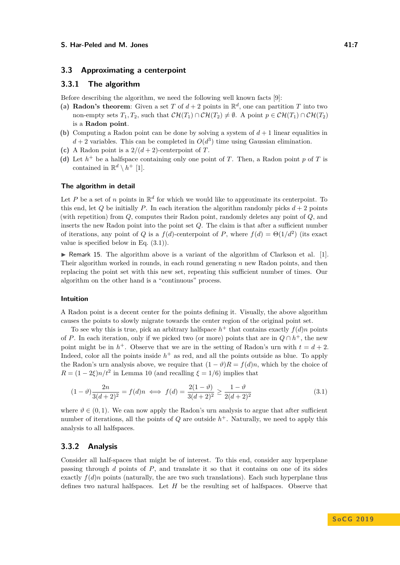## **3.3 Approximating a centerpoint**

## **3.3.1 The algorithm**

Before describing the algorithm, we need the following well known facts [\[9\]](#page-13-12):

- (a) **Radon's theorem:** Given a set T of  $d+2$  points in  $\mathbb{R}^d$ , one can partition T into two non-empty sets  $T_1, T_2$ , such that  $\mathcal{CH}(T_1) \cap \mathcal{CH}(T_2) \neq \emptyset$ . A point  $p \in \mathcal{CH}(T_1) \cap \mathcal{CH}(T_2)$ is a **Radon point**.
- **(b)** Computing a Radon point can be done by solving a system of  $d + 1$  linear equalities in  $d+2$  variables. This can be completed in  $O(d^3)$  time using Gaussian elimination.
- (c) A Radon point is a  $2/(d+2)$ -centerpoint of *T*.
- (d) Let  $h^+$  be a halfspace containing only one point of *T*. Then, a Radon point *p* of *T* is contained in  $\mathbb{R}^d \setminus h^+$  [\[1\]](#page-12-0).

### **The algorithm in detail**

Let P be a set of n points in  $\mathbb{R}^d$  for which we would like to approximate its centerpoint. To this end, let *Q* be initially *P*. In each iteration the algorithm randomly picks  $d + 2$  points (with repetition) from *Q*, computes their Radon point, randomly deletes any point of *Q*, and inserts the new Radon point into the point set *Q*. The claim is that after a sufficient number of iterations, any point of *Q* is a  $f(d)$ -centerpoint of *P*, where  $f(d) = \Theta(1/d^2)$  (its exact value is specified below in [Eq. \(3.1\)\)](#page-6-0).

 $\triangleright$  Remark 15. The algorithm above is a variant of the algorithm of Clarkson et al. [\[1\]](#page-12-0). Their algorithm worked in rounds, in each round generating *n* new Radon points, and then replacing the point set with this new set, repeating this sufficient number of times. Our algorithm on the other hand is a "continuous" process.

#### **Intuition**

A Radon point is a decent center for the points defining it. Visually, the above algorithm causes the points to slowly migrate towards the center region of the original point set.

To see why this is true, pick an arbitrary halfspace  $h^+$  that contains exactly  $f(d)n$  points of *P*. In each iteration, only if we picked two (or more) points that are in  $Q \cap h^+$ , the new point might be in  $h^+$ . Observe that we are in the setting of Radon's urn with  $t = d + 2$ . Indeed, color all the points inside  $h^+$  as red, and all the points outside as blue. To apply the Radon's urn analysis above, we require that  $(1 - \vartheta)R = f(d)n$ , which by the choice of  $R = (1 - 2\xi)n/t^2$  in [Lemma 10](#page-4-0) (and recalling  $\xi = 1/6$ ) implies that

<span id="page-6-0"></span>
$$
(1 - \vartheta) \frac{2n}{3(d+2)^2} = f(d)n \iff f(d) = \frac{2(1 - \vartheta)}{3(d+2)^2} \ge \frac{1 - \vartheta}{2(d+2)^2}
$$
(3.1)

where  $\vartheta \in (0,1)$ . We can now apply the Radon's urn analysis to argue that after sufficient number of iterations, all the points of  $Q$  are outside  $h^+$ . Naturally, we need to apply this analysis to all halfspaces.

## **3.3.2 Analysis**

Consider all half-spaces that might be of interest. To this end, consider any hyperplane passing through *d* points of *P*, and translate it so that it contains on one of its sides exactly  $f(d)$ *n* points (naturally, the are two such translations). Each such hyperplane thus defines two natural halfspaces. Let *H* be the resulting set of halfspaces. Observe that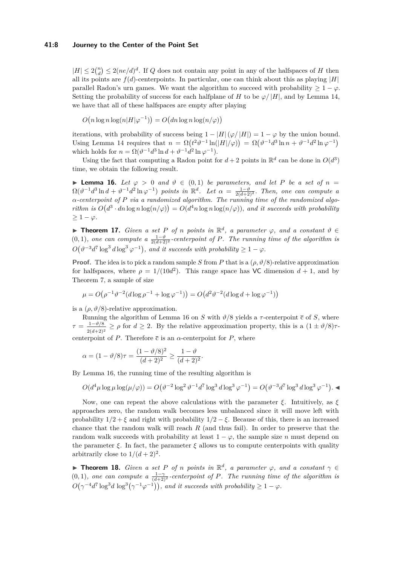#### **41:8 Journey to the Center of the Point Set**

 $|H| \leq 2\binom{n}{d} \leq 2(ne/d)^d$ . If *Q* does not contain any point in any of the halfspaces of *H* then all its points are  $f(d)$ -centerpoints. In particular, one can think about this as playing  $|H|$ parallel Radon's urn games. We want the algorithm to succeed with probability  $> 1 - \varphi$ . Setting the probability of success for each halfplane of *H* to be  $\varphi/|H|$ , and by [Lemma 14,](#page-5-0) we have that all of these halfspaces are empty after playing

 $O(n \log n \log(n|H|\varphi^{-1})) = O(dn \log n \log(n/\varphi))$ 

iterations, with probability of success being  $1 - |H|(\varphi/|H|) = 1 - \varphi$  by the union bound. Using [Lemma 14](#page-5-0) requires that  $n = \Omega(t^2 \vartheta^{-1} \ln(|H|/\varphi)) = \Omega(\vartheta^{-1} d^3 \ln n + \vartheta^{-1} d^2 \ln \varphi^{-1})$ which holds for  $n = \Omega(\vartheta^{-1}d^3\ln d + \vartheta^{-1}d^2\ln\varphi^{-1}).$ 

Using the fact that computing a Radon point for  $d+2$  points in  $\mathbb{R}^d$  can be done in  $O(d^3)$ time, we obtain the following result.

<span id="page-7-1"></span>**► Lemma 16.** Let  $\varphi > 0$  and  $\vartheta \in (0,1)$  be parameters, and let P be a set of  $n =$  $\Omega(\vartheta^{-1}d^3\ln d + \vartheta^{-1}d^2\ln\varphi^{-1})$  points in  $\mathbb{R}^d$ . Let  $\alpha = \frac{1-\vartheta}{2(d+2)^2}$ . Then, one can compute a *α-centerpoint of P via a randomized algorithm. The running time of the randomized algorithm is*  $O(d^3 \cdot dn \log n \log(n/\varphi)) = O(d^4 n \log n \log(n/\varphi))$ , and it succeeds with probability  $> 1 - \varphi$ .

<span id="page-7-2"></span>**Find 17.** *Given a set P of n points in*  $\mathbb{R}^d$ *, a parameter*  $\varphi$ *, and a constant*  $\vartheta \in$  $(0,1)$ , one can compute a  $\frac{1-\vartheta}{2(d+2)^2}$ -centerpoint of P. The running time of the algorithm is  $O(\vartheta^{-3}d^7\log^3 d\log^3 \varphi^{-1})$ , and it succeeds with probability  $\geq 1-\varphi$ .

**Proof.** The idea is to pick a random sample *S* from *P* that is a  $(\rho, \vartheta/8)$ -relative approximation for halfspaces, where  $\rho = 1/(10d^2)$ . This range space has VC dimension  $d+1$ , and by [Theorem 7,](#page-3-1) a sample of size

$$
\mu = O(\rho^{-1} \vartheta^{-2} (d \log \rho^{-1} + \log \varphi^{-1})) = O(d^2 \vartheta^{-2} (d \log d + \log \varphi^{-1}))
$$

is a  $(\rho, \vartheta/8)$ -relative approximation.

Running the algorithm of [Lemma 16](#page-7-1) on *S* with  $\vartheta/8$  yields a  $\tau$ -centerpoint  $\bar{c}$  of *S*, where  $\tau = \frac{1-\vartheta/8}{\pi}$  $\frac{1-\nu/8}{2(d+2)^2} \ge \rho$  for  $d \ge 2$ . By the relative approximation property, this is a  $(1 \pm \vartheta/8)\tau$ centerpoint of *P*. Therefore  $\bar{c}$  is an  $\alpha$ -centerpoint for *P*, where

$$
\alpha = (1 - \vartheta/8)\tau = \frac{(1 - \vartheta/8)^2}{(d+2)^2} \ge \frac{1 - \vartheta}{(d+2)^2}.
$$

By [Lemma 16,](#page-7-1) the running time of the resulting algorithm is

$$
O(d^4\mu \log \mu \log(\mu/\varphi)) = O(\vartheta^{-2} \log^2 \vartheta^{-1} d^7 \log^3 d \log^3 \varphi^{-1}) = O(\vartheta^{-3} d^7 \log^3 d \log^3 \varphi^{-1}).
$$

Now, one can repeat the above calculations with the parameter  $ξ$ . Intuitively, as  $ξ$ approaches zero, the random walk becomes less unbalanced since it will move left with probability  $1/2 + \xi$  and right with probability  $1/2 - \xi$ . Because of this, there is an increased chance that the random walk will reach *R* (and thus fail). In order to preserve that the random walk succeeds with probability at least  $1 - \varphi$ , the sample size *n* must depend on the parameter  $\xi$ . In fact, the parameter  $\xi$  allows us to compute centerpoints with quality arbitrarily close to  $1/(d+2)^2$ .

<span id="page-7-0"></span>**Find 18.** *Given a set P of n points in*  $\mathbb{R}^d$ *, a parameter*  $\varphi$ *, and a constant*  $\gamma \in$  $(0,1)$ , one can compute a  $\frac{1-\gamma}{(d+2)^2}$ -centerpoint of P. The running time of the algorithm is  $O(\gamma^{-4}d^7 \log^3 d \log^3(\gamma^{-1} \varphi^{-1}))$ , and it succeeds with probability  $\geq 1 - \varphi$ .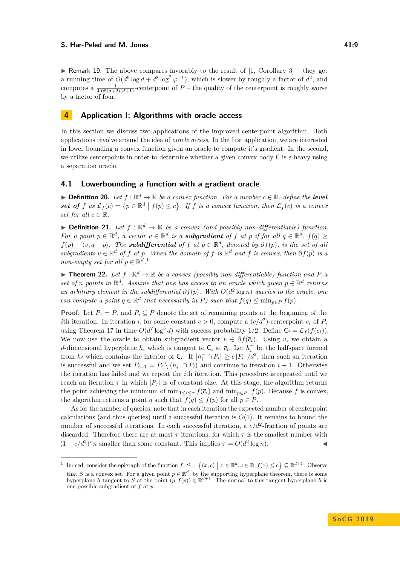$\triangleright$  Remark 19. The above compares favorably to the result of [\[1,](#page-12-0) Corollary 3] – they get a running time of  $O(d^9 \log d + d^8 \log^2 \varphi^{-1})$ , which is slower by roughly a factor of  $d^2$ , and computes a  $\frac{1}{4.08(d+2)(d+1)}$ -centerpoint of  $P$  – the quality of the centerpoint is roughly worse by a factor of four.

# <span id="page-8-1"></span>**4 Application I: Algorithms with oracle access**

In this section we discuss two applications of the improved centerpoint algorithm. Both applications revolve around the idea of *oracle access*. In the first application, we are interested in lower bounding a convex function given an oracle to compute it's gradient. In the second, we utilize centerpoints in order to determine whether a given convex body C is *ε*-heavy using a separation oracle.

## **4.1 Lowerbounding a function with a gradient oracle**

**Definition 20.** Let  $f : \mathbb{R}^d \to \mathbb{R}$  be a convex function. For a number  $c \in \mathbb{R}$ , define the **level** set of  $f$  as  $\mathcal{L}_f(c) = \{p \in \mathbb{R}^d \mid f(p) \leq c\}$ . If  $f$  is a convex function, then  $\mathcal{L}_f(c)$  is a convex *set for all*  $c \in \mathbb{R}$ *.* 

**Definition 21.** Let  $f : \mathbb{R}^d \to \mathbb{R}$  be a convex (and possibly non-differentiable) function. *For a point*  $p \in \mathbb{R}^d$ , *a vector*  $v \in \mathbb{R}^d$  *is a subgradient of f at p if for all*  $q \in \mathbb{R}^d$ ,  $f(q) \ge$  $f(p) + \langle v, q - p \rangle$ . The **subdifferential** of *f* at  $p \in \mathbb{R}^d$ , denoted by  $\partial f(p)$ , is the set of all *subgradients*  $v \in \mathbb{R}^d$  *of*  $f$  *at*  $p$ *. When the domain of*  $f$  *is*  $\mathbb{R}^d$  *and*  $f$  *is convex, then*  $\partial f(p)$  *is a non-empty set for all*  $p \in \mathbb{R}^d$ .<sup>[1](#page-8-2)</sup>

<span id="page-8-0"></span>**Findmark 122.** Let  $f : \mathbb{R}^d \to \mathbb{R}$  be a convex (possibly non-differentiable) function and P a *set of n points* in  $\mathbb{R}^d$ *. Assume that one has access to an oracle which given*  $p \in \mathbb{R}^d$  *returns* an arbitrary element in the subdifferential  $\partial f(p)$ . With  $O(d^2 \log n)$  queries to the oracle, one *can compute a point*  $q \in \mathbb{R}^d$  *(not necessarily in P) such that*  $f(q) \le \min_{p \in P} f(p)$ .

**Proof.** Let  $P_1 = P$ , and  $P_i \subseteq P$  denote the set of remaining points at the beginning of the *i*th iteration. In iteration *i*, for some constant  $c > 0$ , compute a  $(c/d^2)$ -centerpoint  $\overline{c}_i$  of  $P_i$ using [Theorem 17](#page-7-2) in time  $O(d^7 \log^3 d)$  with success probability 1/2. Define  $C_i = \mathcal{L}_f(f(\bar{c}_i))$ . We now use the oracle to obtain subgradient vector  $v \in \partial f(\bar{c}_i)$ . Using *v*, we obtain a *d*-dimensional hyperplane  $h_i$  which is tangent to  $\mathsf{C}_i$  at  $\bar{c}_i$ . Let  $h_i^+$  be the halfspace formed from  $h_i$  which contains the interior of  $C_i$ . If  $|h_i^- \cap P_i| \ge c |P_i|/d^2$ , then such an iteration is successful and we set  $P_{i+1} = P_i \setminus (h_i^- \cap P_i)$  and continue to iteration  $i + 1$ . Otherwise the iteration has failed and we repeat the *i*th iteration. This procedure is repeated until we reach an iteration  $\tau$  in which  $|P_\tau|$  is of constant size. At this stage, the algorithm returns the point achieving the minimum of  $\min_{1 \leq i \leq \tau} f(\bar{c}_i)$  and  $\min_{p \in P_{\tau}} f(p)$ . Because f is convex, the algorithm returns a point *q* such that  $f(q) \leq f(p)$  for all  $p \in P$ .

As for the number of queries, note that in each iteration the expected number of centerpoint calculations (and thus queries) until a successful iteration is *O*(1). It remains to bound the number of successful iterations. In each successful iteration, a  $c/d^2$ -fraction of points are discarded. Therefore there are at most  $\tau$  iterations, for which  $\tau$  is the smallest number with  $(1 - c/d^2)^\tau n$  smaller than some constant. This implies  $\tau = O(d^2 \log n)$ .

<span id="page-8-2"></span><sup>&</sup>lt;sup>1</sup> Indeed, consider the epigraph of the function  $f, S = \{(x, c) \mid x \in \mathbb{R}^d, c \in \mathbb{R}, f(x) \le c\} \subseteq \mathbb{R}^{d+1}$ . Observe that S is a convex set. For a given point  $p \in \mathbb{R}^d$ , by the supporting hyperplane theorem, there is some<br>hyperplane h tangent to S at the point  $(p, f(p)) \in \mathbb{R}^{d+1}$ . The normal to this tangent hyperplane h is one possible subgradient of *f* at *p*.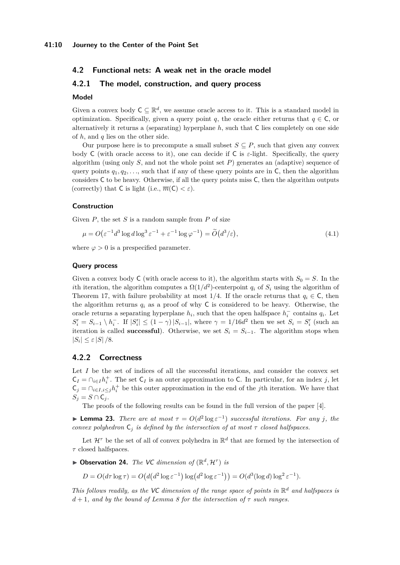# **4.2 Functional nets: A weak net in the oracle model**

# **4.2.1 The model, construction, and query process**

#### **Model**

Given a convex body  $C \subseteq \mathbb{R}^d$ , we assume oracle access to it. This is a standard model in optimization. Specifically, given a query point *q*, the oracle either returns that  $q \in \mathsf{C}$ , or alternatively it returns a (separating) hyperplane *h*, such that C lies completely on one side of *h*, and *q* lies on the other side.

Our purpose here is to precompute a small subset  $S \subseteq P$ , such that given any convex body C (with oracle access to it), one can decide if C is  $\varepsilon$ -light. Specifically, the query algorithm (using only  $S$ , and not the whole point set  $P$ ) generates an (adaptive) sequence of query points  $q_1, q_2, \ldots$ , such that if any of these query points are in C, then the algorithm considers C to be heavy. Otherwise, if all the query points miss C, then the algorithm outputs (correctly) that C is light (i.e.,  $\overline{m}(C) < \varepsilon$ ).

#### **Construction**

Given *P*, the set *S* is a random sample from *P* of size

<span id="page-9-0"></span>
$$
\mu = O\left(\varepsilon^{-1}d^3 \log d \log^3 \varepsilon^{-1} + \varepsilon^{-1} \log \varphi^{-1}\right) = \widetilde{O}\left(d^3/\varepsilon\right),\tag{4.1}
$$

where  $\varphi > 0$  is a prespecified parameter.

#### **Query process**

Given a convex body C (with oracle access to it), the algorithm starts with  $S_0 = S$ . In the *i*th iteration, the algorithm computes a  $\Omega(1/d^2)$ -centerpoint  $q_i$  of  $S_i$  using the algorithm of [Theorem 17,](#page-7-2) with failure probability at most 1/4. If the oracle returns that  $q_i \in \mathsf{C}$ , then the algorithm returns  $q_i$  as a proof of why C is considered to be heavy. Otherwise, the oracle returns a separating hyperplane  $h_i$ , such that the open halfspace  $h_i^-$  contains  $q_i$ . Let  $S_i' = S_{i-1} \setminus h_i^-$ . If  $|S_i'| \leq (1 - \gamma) |S_{i-1}|$ , where  $\gamma = 1/16d^2$  then we set  $S_i = S_i'$  (such an iteration is called **successful**). Otherwise, we set  $S_i = S_{i-1}$ . The algorithm stops when  $|S_i| \leq \varepsilon |S|/8.$ 

# **4.2.2 Correctness**

Let *I* be the set of indices of all the successful iterations, and consider the convex set  $C_I = \bigcap_{i \in I} h_i^+$ . The set  $C_I$  is an outer approximation to C. In particular, for an index *j*, let  $C_j = \bigcap_{i \in I, i \leq j} h_i^+$  be this outer approximation in the end of the *j*th iteration. We have that  $S_j = S \cap C_j$ .

The proofs of the following results can be found in the full version of the paper [\[4\]](#page-12-4).

**Example 23.** *There are at most*  $\tau = O(d^2 \log \varepsilon^{-1})$  *successful iterations. For any j, the convex polyhedron*  $C_i$  *is defined by the intersection of at most*  $\tau$  *closed halfspaces.* 

Let  $\mathcal{H}^{\tau}$  be the set of all of convex polyhedra in  $\mathbb{R}^{d}$  that are formed by the intersection of *τ* closed halfspaces.

 $\triangleright$  **Observation 24.** *The VC dimension of*  $(\mathbb{R}^d, \mathcal{H}^{\tau})$  *is* 

 $D = O(d\tau \log \tau) = O(d(d^2 \log \epsilon^{-1}) \log (d^2 \log \epsilon^{-1})) = O(d^3 (\log d) \log^2 \epsilon^{-1}).$ 

*This follows readily, as the* VC *dimension of the range space of points in* R *<sup>d</sup> and halfspaces is*  $d+1$ *, and by the bound of [Lemma 8](#page-3-2) for the intersection of*  $\tau$  *such ranges.*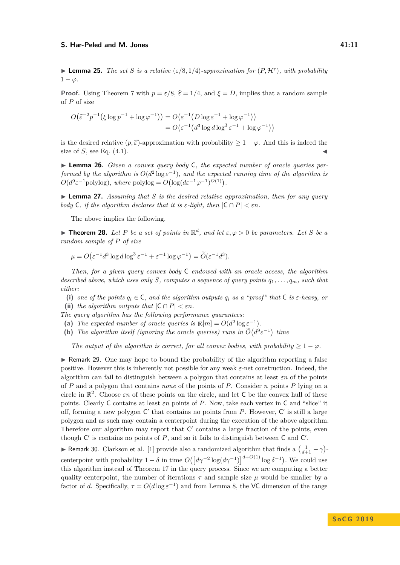#### <span id="page-10-1"></span>**S.** Har-Peled and M. Jones 41:11

**Proof.** Using [Theorem 7](#page-3-1) with  $p = \varepsilon/8$ ,  $\hat{\varepsilon} = 1/4$ , and  $\xi = D$ , implies that a random sample of *P* of size

$$
O(\widehat{\varepsilon}^{-2}p^{-1}(\xi \log p^{-1} + \log \varphi^{-1})) = O(\varepsilon^{-1}(D \log \varepsilon^{-1} + \log \varphi^{-1}))
$$
  
=  $O(\varepsilon^{-1}(d^3 \log d \log^3 \varepsilon^{-1} + \log \varphi^{-1}))$ 

is the desired relative  $(p, \hat{\varepsilon})$ -approximation with probability  $\geq 1 - \varphi$ . And this is indeed the size of  $S$ , see Eq.  $(4.1)$ .

▶ **Lemma 26.** *Given a convex query body* C, the expected number of oracle queries per*formed by the algorithm is*  $O(d^2 \log \varepsilon^{-1})$ , and the expected running time of the algorithm is  $O(d^9 \varepsilon^{-1} \text{polylog})$ *, where* polylog =  $O(\log(d\varepsilon^{-1} \varphi^{-1})^{O(1)})$ *.* 

 $\blacktriangleright$  **Lemma 27.** Assuming that *S* is the desired relative approximation, then for any query *body* C, if the algorithm declares that it is  $\varepsilon$ -light, then  $|C \cap P| < \varepsilon n$ .

The above implies the following.

<span id="page-10-0"></span>**Find 18.** Let P be a set of points in  $\mathbb{R}^d$ , and let  $\varepsilon, \varphi > 0$  be parameters. Let S be a *random sample of P of size*

$$
\mu = O(\varepsilon^{-1}d^3 \log d \log^3 \varepsilon^{-1} + \varepsilon^{-1} \log \varphi^{-1}) = \widetilde{O}(\varepsilon^{-1}d^3).
$$

*Then, for a given query convex body* C *endowed with an oracle access, the algorithm described above, which uses only S, computes a sequence of query points q*1*, . . . , qm, such that either:*

**(i)** *one of the points*  $q_i \in \mathbb{C}$ *, and the algorithm outputs*  $q_i$  *as a "proof" that*  $\mathbb{C}$  *is*  $\varepsilon$ *-heavy, or* (ii) *the algorithm outputs that*  $|C \cap P| < \varepsilon n$ *.* 

- *The query algorithm has the following performance guarantees:*
- (a) *The expected number of oracle queries is*  $\mathbf{E}[m] = O(d^2 \log \varepsilon^{-1})$ *.*
- **(b)** The algorithm itself (ignoring the oracle queries) runs in  $\tilde{O}(d^9\varepsilon^{-1})$  time

*The output of the algorithm is correct, for all convex bodies, with probability*  $\geq 1 - \varphi$ *.* 

 $\triangleright$  Remark 29. One may hope to bound the probability of the algorithm reporting a false positive. However this is inherently not possible for any weak *ε*-net construction. Indeed, the algorithm can fail to distinguish between a polygon that contains at least *εn* of the points of *P* and a polygon that contains *none* of the points of *P*. Consider *n* points *P* lying on a circle in  $\mathbb{R}^2$ . Choose  $\varepsilon n$  of these points on the circle, and let C be the convex hull of these points. Clearly C contains at least *εn* points of *P*. Now, take each vertex in C and "slice" it off, forming a new polygon  $C'$  that contains no points from  $P$ . However,  $C'$  is still a large polygon and as such may contain a centerpoint during the execution of the above algorithm. Therefore our algorithm may report that  $C'$  contains a large fraction of the points, even though  $C'$  is contains no points of  $P$ , and so it fails to distinguish between  $C$  and  $C'$ .

<span id="page-10-2"></span>► Remark 30. Clarkson et al. [\[1\]](#page-12-0) provide also a randomized algorithm that finds a  $\left(\frac{1}{d+1} - \gamma\right)$ centerpoint with probability  $1 - \delta$  in time  $O([d\gamma^{-2} \log(d\gamma^{-1})]^{d+O(1)} \log \delta^{-1})$ . We could use this algorithm instead of [Theorem 17](#page-7-2) in the query process. Since we are computing a better quality centerpoint, the number of iterations  $\tau$  and sample size  $\mu$  would be smaller by a factor of *d*. Specifically,  $\tau = O(d \log \varepsilon^{-1})$  and from [Lemma 8,](#page-3-2) the VC dimension of the range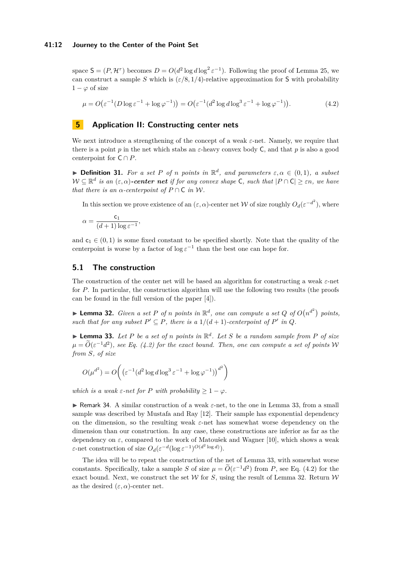#### **41:12 Journey to the Center of the Point Set**

space  $S = (P, H^{\tau})$  becomes  $D = O(d^2 \log d \log^2 \epsilon^{-1})$ . Following the proof of [Lemma 25,](#page-10-1) we can construct a sample *S* which is  $(\varepsilon/8, 1/4)$ -relative approximation for S with probability  $1 - \varphi$  of size

<span id="page-11-2"></span>
$$
\mu = O\big(\varepsilon^{-1} \big(D\log \varepsilon^{-1} + \log \varphi^{-1}\big)\big) = O\big(\varepsilon^{-1} \big(d^2 \log d \log^3 \varepsilon^{-1} + \log \varphi^{-1}\big)\big). \tag{4.2}
$$

# <span id="page-11-1"></span>**5 Application II: Constructing center nets**

We next introduce a strengthening of the concept of a weak *ε*-net. Namely, we require that there is a point *p* in the net which stabs an *ε*-heavy convex body C, and that *p* is also a good centerpoint for  $C \cap P$ .

<span id="page-11-4"></span>**Definition 31.** For a set P of *n* points in  $\mathbb{R}^d$ , and parameters  $\varepsilon, \alpha \in (0,1)$ , a subset  $W \subseteq \mathbb{R}^d$  *is an*  $(\varepsilon, \alpha)$ -center net *if for any convex shape* C, such that  $|P \cap C| \geq \varepsilon n$ , we have *that there is an*  $\alpha$ *-centerpoint of*  $P \cap C$  *in* W.

In this section we prove existence of an  $(\varepsilon, \alpha)$ -center net W of size roughly  $O_d(\varepsilon^{-d^2})$ , where

$$
\alpha=\frac{\mathsf{c}_1}{(d+1)\log\varepsilon^{-1}},
$$

and  $c_1 \in (0,1)$  is some fixed constant to be specified shortly. Note that the quality of the centerpoint is worse by a factor of  $\log \varepsilon^{-1}$  than the best one can hope for.

# **5.1 The construction**

The construction of the center net will be based an algorithm for constructing a weak *ε*-net for *P*. In particular, the construction algorithm will use the following two results (the proofs can be found in the full version of the paper [\[4\]](#page-12-4)).

<span id="page-11-3"></span>**Example 1 22.** *Given a set P of n points in*  $\mathbb{R}^d$ *, one can compute a set Q of*  $O(n^{d^2})$  *points, such that for any subset*  $P' \subseteq P$ *, there is a*  $1/(d+1)$ *-centerpoint of*  $P'$  *in*  $Q$ *.* 

<span id="page-11-0"></span> $\blacktriangleright$  **Lemma 33.** Let P be a set of *n* points in  $\mathbb{R}^d$ . Let S be a random sample from P of size  $\mu = \widetilde{O}(\varepsilon^{-1}d^2)$ , see [Eq. \(4.2\)](#page-11-2) for the exact bound. Then, one can compute a set of points W *from S, of size*

$$
O(\mu^{d^2}) = O\bigg(\left(\varepsilon^{-1} (d^2 \log d \log^3 \varepsilon^{-1} + \log \varphi^{-1})\right)^{d^2}\bigg)
$$

*which is a weak*  $\varepsilon$ -net for *P with probability*  $\geq 1 - \varphi$ *.* 

I Remark 34. A similar construction of a weak *ε*-net, to the one in [Lemma 33,](#page-11-0) from a small sample was described by Mustafa and Ray [\[12\]](#page-13-5). Their sample has exponential dependency on the dimension, so the resulting weak *ε*-net has somewhat worse dependency on the dimension than our construction. In any case, these constructions are inferior as far as the dependency on *ε*, compared to the work of Matoušek and Wagner [\[10\]](#page-13-1), which shows a weak *ε*-net construction of size  $O_d(\varepsilon^{-d}(\log \varepsilon^{-1})^{O(d^2 \log d)})$ .

The idea will be to repeat the construction of the net of [Lemma 33,](#page-11-0) with somewhat worse constants. Specifically, take a sample *S* of size  $\mu = \tilde{O}(\varepsilon^{-1}d^2)$  from *P*, see [Eq. \(4.2\)](#page-11-2) for the exact bound. Next, we construct the set  $W$  for  $S$ , using the result of [Lemma 32.](#page-11-3) Return  $W$ as the desired  $(\varepsilon, \alpha)$ -center net.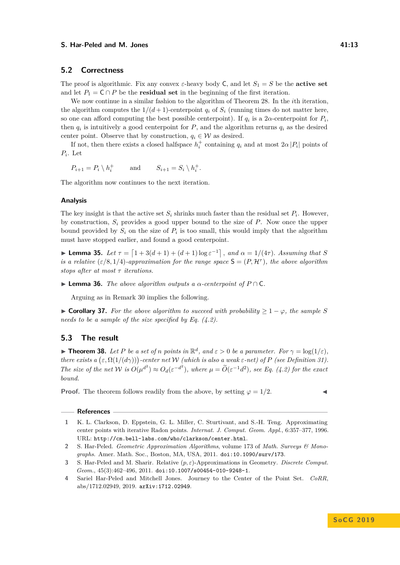#### **S.** Har-Peled and M. Jones 41:13

## **5.2 Correctness**

The proof is algorithmic. Fix any convex  $\varepsilon$ -heavy body C, and let  $S_1 = S$  be the **active set** and let  $P_1 = C \cap P$  be the **residual set** in the beginning of the first iteration.

We now continue in a similar fashion to the algorithm of [Theorem 28.](#page-10-0) In the *i*th iteration, the algorithm computes the  $1/(d+1)$ -centerpoint  $q_i$  of  $S_i$  (running times do not matter here, so one can afford computing the best possible centerpoint). If  $q_i$  is a 2 $\alpha$ -centerpoint for  $P_i$ , then  $q_i$  is intuitively a good centerpoint for  $P$ , and the algorithm returns  $q_i$  as the desired center point. Observe that by construction,  $q_i \in \mathcal{W}$  as desired.

If not, then there exists a closed halfspace  $h_i^+$  containing  $q_i$  and at most  $2\alpha |P_i|$  points of *Pi* . Let

$$
P_{i+1} = P_i \setminus h_i^+ \qquad \text{and} \qquad S_{i+1} = S_i \setminus h_i^+.
$$

The algorithm now continues to the next iteration.

#### **Analysis**

The key insight is that the active set  $S_i$  shrinks much faster than the residual set  $P_i$ . However, by construction, *S<sup>i</sup>* provides a good upper bound to the size of *P*. Now once the upper bound provided by  $S_i$  on the size of  $P_i$  is too small, this would imply that the algorithm must have stopped earlier, and found a good centerpoint.

**► Lemma 35.** Let  $τ = [1 + 3(d + 1) + (d + 1) \log ε^{-1}]$ , and  $α = 1/(4τ)$ . Assuming that S *is a relative* ( $\varepsilon/8$ , 1/4)*-approximation for the range space*  $S = (P, H^{\tau})$ *, the above algorithm stops after at most τ iterations.*

 $\blacktriangleright$  **Lemma 36.** *The above algorithm outputs a*  $\alpha$ -centerpoint of  $P \cap C$ *.* 

Arguing as in [Remark 30](#page-10-2) implies the following.

 $\triangleright$  **Corollary 37.** *For the above algorithm to succeed with probability* ≥ 1 −  $\varphi$ *, the sample S needs to be a sample of the size specified by [Eq. \(4.2\).](#page-11-2)*

# **5.3 The result**

<span id="page-12-1"></span>**Fineorem 38.** Let P be a set of *n* points in  $\mathbb{R}^d$ , and  $\varepsilon > 0$  be a parameter. For  $\gamma = \log(1/\varepsilon)$ , *there exists a*  $(\varepsilon, \Omega(1/(d\gamma)))$ -center net W *(which is also a weak*  $\varepsilon$ -net) of P *(see [Definition 31\)](#page-11-4). The size of the net*  $W$  *is*  $O(\mu^{d^2}) \approx O_d(\varepsilon^{-d^2})$ *, where*  $\mu = \widetilde{O}(\varepsilon^{-1}d^2)$ *, see [Eq. \(4.2\)](#page-11-2)* for the exact *bound.*

**Proof.** The theorem follows readily from the above, by setting  $\varphi = 1/2$ .

#### **References**

<span id="page-12-0"></span>**1** K. L. Clarkson, D. Eppstein, G. L. Miller, C. Sturtivant, and S.-H. Teng. Approximating center points with iterative Radon points. *Internat. J. Comput. Geom. Appl.*, 6:357–377, 1996. URL: <http://cm.bell-labs.com/who/clarkson/center.html>.

<span id="page-12-2"></span>**<sup>2</sup>** S. Har-Peled. *Geometric Approximation Algorithms*, volume 173 of *Math. Surveys & Monographs*. Amer. Math. Soc., Boston, MA, USA, 2011. [doi:10.1090/surv/173](http://dx.doi.org/10.1090/surv/173).

<span id="page-12-3"></span>**<sup>3</sup>** S. Har-Peled and M. Sharir. Relative (*p, ε*)-Approximations in Geometry. *Discrete Comput. Geom.*, 45(3):462–496, 2011. [doi:10.1007/s00454-010-9248-1](http://dx.doi.org/10.1007/s00454-010-9248-1).

<span id="page-12-4"></span>**<sup>4</sup>** Sariel Har-Peled and Mitchell Jones. Journey to the Center of the Point Set. *CoRR*, abs/1712.02949, 2019. [arXiv:1712.02949](http://arxiv.org/abs/1712.02949).